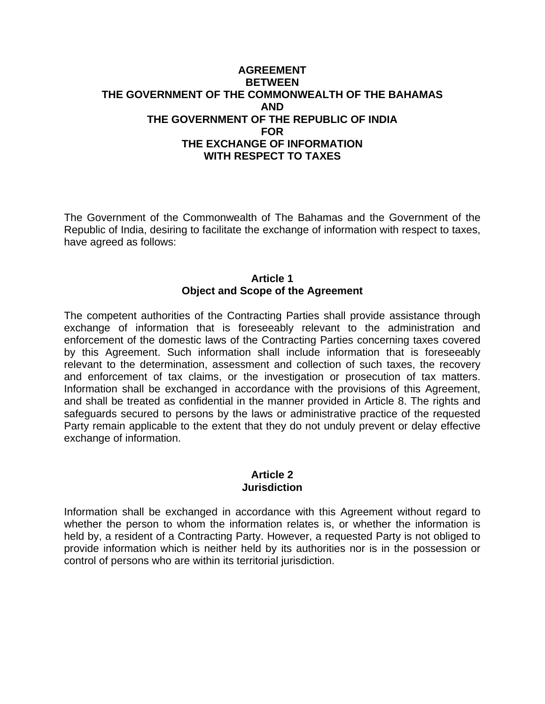## **AGREEMENT BETWEEN THE GOVERNMENT OF THE COMMONWEALTH OF THE BAHAMAS AND THE GOVERNMENT OF THE REPUBLIC OF INDIA FOR THE EXCHANGE OF INFORMATION WITH RESPECT TO TAXES**

The Government of the Commonwealth of The Bahamas and the Government of the Republic of India, desiring to facilitate the exchange of information with respect to taxes, have agreed as follows:

# **Article 1 Object and Scope of the Agreement**

The competent authorities of the Contracting Parties shall provide assistance through exchange of information that is foreseeably relevant to the administration and enforcement of the domestic laws of the Contracting Parties concerning taxes covered by this Agreement. Such information shall include information that is foreseeably relevant to the determination, assessment and collection of such taxes, the recovery and enforcement of tax claims, or the investigation or prosecution of tax matters. Information shall be exchanged in accordance with the provisions of this Agreement, and shall be treated as confidential in the manner provided in Article 8. The rights and safeguards secured to persons by the laws or administrative practice of the requested Party remain applicable to the extent that they do not unduly prevent or delay effective exchange of information.

### **Article 2 Jurisdiction**

Information shall be exchanged in accordance with this Agreement without regard to whether the person to whom the information relates is, or whether the information is held by, a resident of a Contracting Party. However, a requested Party is not obliged to provide information which is neither held by its authorities nor is in the possession or control of persons who are within its territorial jurisdiction.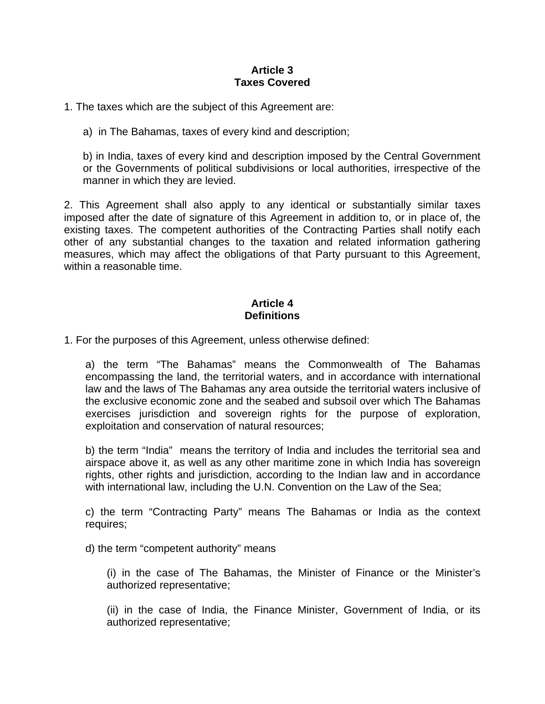## **Article 3 Taxes Covered**

1. The taxes which are the subject of this Agreement are:

a) in The Bahamas, taxes of every kind and description;

b) in India, taxes of every kind and description imposed by the Central Government or the Governments of political subdivisions or local authorities, irrespective of the manner in which they are levied.

2. This Agreement shall also apply to any identical or substantially similar taxes imposed after the date of signature of this Agreement in addition to, or in place of, the existing taxes. The competent authorities of the Contracting Parties shall notify each other of any substantial changes to the taxation and related information gathering measures, which may affect the obligations of that Party pursuant to this Agreement, within a reasonable time.

# **Article 4 Definitions**

1. For the purposes of this Agreement, unless otherwise defined:

a) the term "The Bahamas" means the Commonwealth of The Bahamas encompassing the land, the territorial waters, and in accordance with international law and the laws of The Bahamas any area outside the territorial waters inclusive of the exclusive economic zone and the seabed and subsoil over which The Bahamas exercises jurisdiction and sovereign rights for the purpose of exploration, exploitation and conservation of natural resources;

b) the term "India" means the territory of India and includes the territorial sea and airspace above it, as well as any other maritime zone in which India has sovereign rights, other rights and jurisdiction, according to the Indian law and in accordance with international law, including the U.N. Convention on the Law of the Sea;

c) the term "Contracting Party" means The Bahamas or India as the context requires;

d) the term "competent authority" means

(i) in the case of The Bahamas, the Minister of Finance or the Minister's authorized representative;

(ii) in the case of India, the Finance Minister, Government of India, or its authorized representative;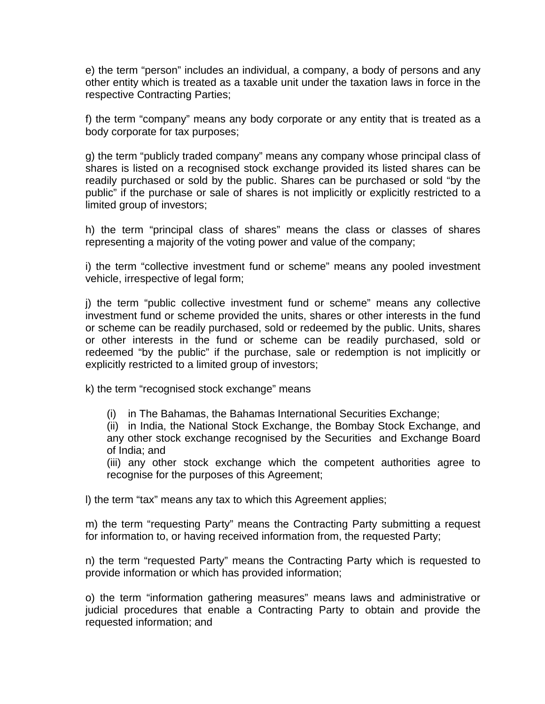e) the term "person" includes an individual, a company, a body of persons and any other entity which is treated as a taxable unit under the taxation laws in force in the respective Contracting Parties;

f) the term "company" means any body corporate or any entity that is treated as a body corporate for tax purposes;

g) the term "publicly traded company" means any company whose principal class of shares is listed on a recognised stock exchange provided its listed shares can be readily purchased or sold by the public. Shares can be purchased or sold "by the public" if the purchase or sale of shares is not implicitly or explicitly restricted to a limited group of investors;

h) the term "principal class of shares" means the class or classes of shares representing a majority of the voting power and value of the company;

i) the term "collective investment fund or scheme" means any pooled investment vehicle, irrespective of legal form;

j) the term "public collective investment fund or scheme" means any collective investment fund or scheme provided the units, shares or other interests in the fund or scheme can be readily purchased, sold or redeemed by the public. Units, shares or other interests in the fund or scheme can be readily purchased, sold or redeemed "by the public" if the purchase, sale or redemption is not implicitly or explicitly restricted to a limited group of investors;

k) the term "recognised stock exchange" means

(i) in The Bahamas, the Bahamas International Securities Exchange;

(ii) in India, the National Stock Exchange, the Bombay Stock Exchange, and any other stock exchange recognised by the Securities and Exchange Board of India; and

(iii) any other stock exchange which the competent authorities agree to recognise for the purposes of this Agreement;

l) the term "tax" means any tax to which this Agreement applies;

m) the term "requesting Party" means the Contracting Party submitting a request for information to, or having received information from, the requested Party;

n) the term "requested Party" means the Contracting Party which is requested to provide information or which has provided information;

o) the term "information gathering measures" means laws and administrative or judicial procedures that enable a Contracting Party to obtain and provide the requested information; and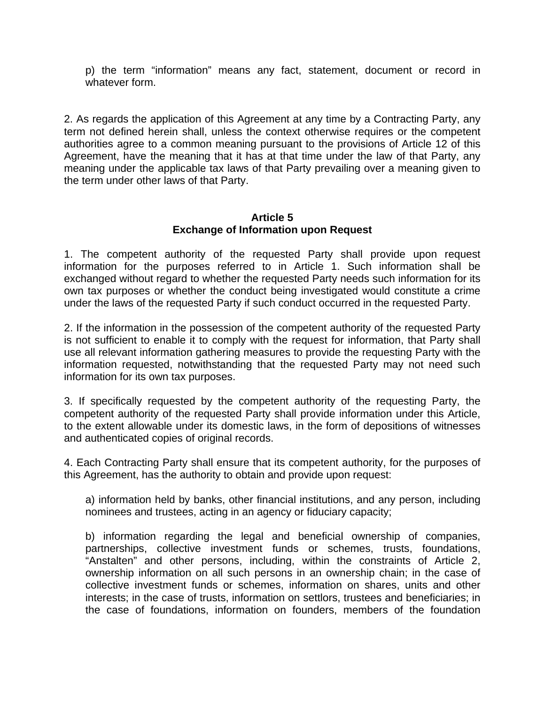p) the term "information" means any fact, statement, document or record in whatever form.

2. As regards the application of this Agreement at any time by a Contracting Party, any term not defined herein shall, unless the context otherwise requires or the competent authorities agree to a common meaning pursuant to the provisions of Article 12 of this Agreement, have the meaning that it has at that time under the law of that Party, any meaning under the applicable tax laws of that Party prevailing over a meaning given to the term under other laws of that Party.

## **Article 5 Exchange of Information upon Request**

1. The competent authority of the requested Party shall provide upon request information for the purposes referred to in Article 1. Such information shall be exchanged without regard to whether the requested Party needs such information for its own tax purposes or whether the conduct being investigated would constitute a crime under the laws of the requested Party if such conduct occurred in the requested Party.

2. If the information in the possession of the competent authority of the requested Party is not sufficient to enable it to comply with the request for information, that Party shall use all relevant information gathering measures to provide the requesting Party with the information requested, notwithstanding that the requested Party may not need such information for its own tax purposes.

3. If specifically requested by the competent authority of the requesting Party, the competent authority of the requested Party shall provide information under this Article, to the extent allowable under its domestic laws, in the form of depositions of witnesses and authenticated copies of original records.

4. Each Contracting Party shall ensure that its competent authority, for the purposes of this Agreement, has the authority to obtain and provide upon request:

a) information held by banks, other financial institutions, and any person, including nominees and trustees, acting in an agency or fiduciary capacity;

b) information regarding the legal and beneficial ownership of companies, partnerships, collective investment funds or schemes, trusts, foundations, "Anstalten" and other persons, including, within the constraints of Article 2, ownership information on all such persons in an ownership chain; in the case of collective investment funds or schemes, information on shares, units and other interests; in the case of trusts, information on settlors, trustees and beneficiaries; in the case of foundations, information on founders, members of the foundation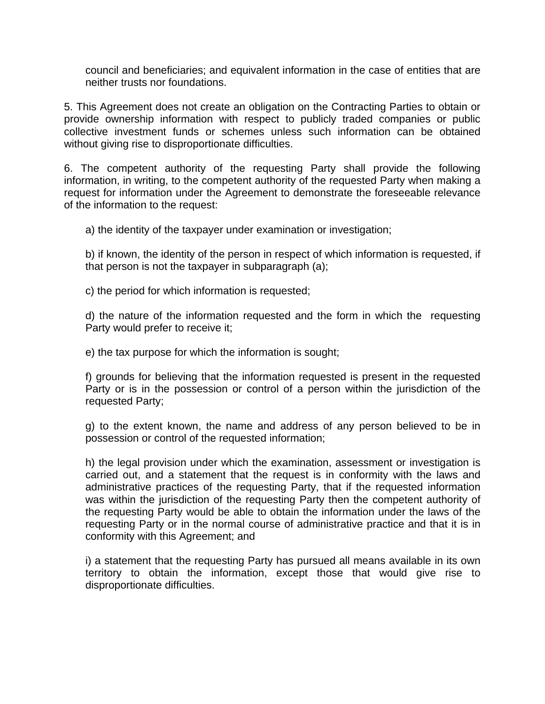council and beneficiaries; and equivalent information in the case of entities that are neither trusts nor foundations.

5. This Agreement does not create an obligation on the Contracting Parties to obtain or provide ownership information with respect to publicly traded companies or public collective investment funds or schemes unless such information can be obtained without giving rise to disproportionate difficulties.

6. The competent authority of the requesting Party shall provide the following information, in writing, to the competent authority of the requested Party when making a request for information under the Agreement to demonstrate the foreseeable relevance of the information to the request:

a) the identity of the taxpayer under examination or investigation;

b) if known, the identity of the person in respect of which information is requested, if that person is not the taxpayer in subparagraph (a);

c) the period for which information is requested;

d) the nature of the information requested and the form in which the requesting Party would prefer to receive it;

e) the tax purpose for which the information is sought;

f) grounds for believing that the information requested is present in the requested Party or is in the possession or control of a person within the jurisdiction of the requested Party;

g) to the extent known, the name and address of any person believed to be in possession or control of the requested information;

h) the legal provision under which the examination, assessment or investigation is carried out, and a statement that the request is in conformity with the laws and administrative practices of the requesting Party, that if the requested information was within the jurisdiction of the requesting Party then the competent authority of the requesting Party would be able to obtain the information under the laws of the requesting Party or in the normal course of administrative practice and that it is in conformity with this Agreement; and

i) a statement that the requesting Party has pursued all means available in its own territory to obtain the information, except those that would give rise to disproportionate difficulties.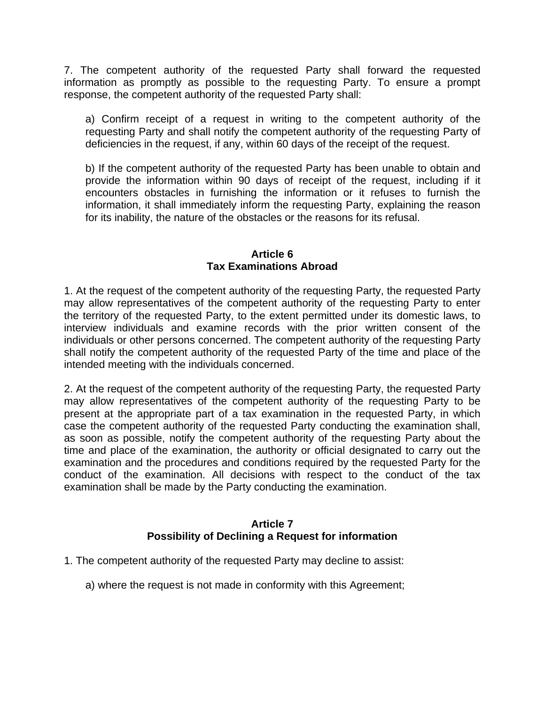7. The competent authority of the requested Party shall forward the requested information as promptly as possible to the requesting Party. To ensure a prompt response, the competent authority of the requested Party shall:

a) Confirm receipt of a request in writing to the competent authority of the requesting Party and shall notify the competent authority of the requesting Party of deficiencies in the request, if any, within 60 days of the receipt of the request.

b) If the competent authority of the requested Party has been unable to obtain and provide the information within 90 days of receipt of the request, including if it encounters obstacles in furnishing the information or it refuses to furnish the information, it shall immediately inform the requesting Party, explaining the reason for its inability, the nature of the obstacles or the reasons for its refusal.

## **Article 6 Tax Examinations Abroad**

1. At the request of the competent authority of the requesting Party, the requested Party may allow representatives of the competent authority of the requesting Party to enter the territory of the requested Party, to the extent permitted under its domestic laws, to interview individuals and examine records with the prior written consent of the individuals or other persons concerned. The competent authority of the requesting Party shall notify the competent authority of the requested Party of the time and place of the intended meeting with the individuals concerned.

2. At the request of the competent authority of the requesting Party, the requested Party may allow representatives of the competent authority of the requesting Party to be present at the appropriate part of a tax examination in the requested Party, in which case the competent authority of the requested Party conducting the examination shall, as soon as possible, notify the competent authority of the requesting Party about the time and place of the examination, the authority or official designated to carry out the examination and the procedures and conditions required by the requested Party for the conduct of the examination. All decisions with respect to the conduct of the tax examination shall be made by the Party conducting the examination.

# **Article 7 Possibility of Declining a Request for information**

- 1. The competent authority of the requested Party may decline to assist:
	- a) where the request is not made in conformity with this Agreement;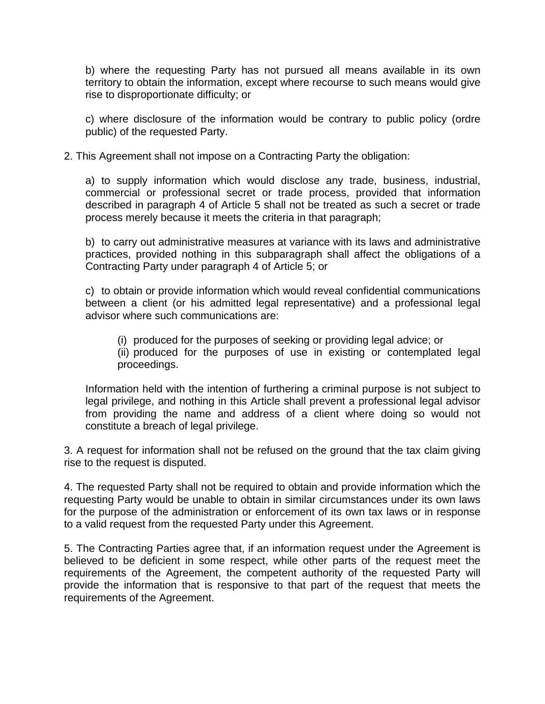b) where the requesting Party has not pursued all means available in its own territory to obtain the information, except where recourse to such means would give rise to disproportionate difficulty; or

c) where disclosure of the information would be contrary to public policy (ordre public) of the requested Party.

2. This Agreement shall not impose on a Contracting Party the obligation:

a) to supply information which would disclose any trade, business, industrial, commercial or professional secret or trade process, provided that information described in paragraph 4 of Article 5 shall not be treated as such a secret or trade process merely because it meets the criteria in that paragraph;

b) to carry out administrative measures at variance with its laws and administrative practices, provided nothing in this subparagraph shall affect the obligations of a Contracting Party under paragraph 4 of Article 5; or

c) to obtain or provide information which would reveal confidential communications between a client (or his admitted legal representative) and a professional legal advisor where such communications are:

(i) produced for the purposes of seeking or providing legal advice; or (ii) produced for the purposes of use in existing or contemplated legal proceedings.

Information held with the intention of furthering a criminal purpose is not subject to legal privilege, and nothing in this Article shall prevent a professional legal advisor from providing the name and address of a client where doing so would not constitute a breach of legal privilege.

3. A request for information shall not be refused on the ground that the tax claim giving rise to the request is disputed.

4. The requested Party shall not be required to obtain and provide information which the requesting Party would be unable to obtain in similar circumstances under its own laws for the purpose of the administration or enforcement of its own tax laws or in response to a valid request from the requested Party under this Agreement.

5. The Contracting Parties agree that, if an information request under the Agreement is believed to be deficient in some respect, while other parts of the request meet the requirements of the Agreement, the competent authority of the requested Party will provide the information that is responsive to that part of the request that meets the requirements of the Agreement.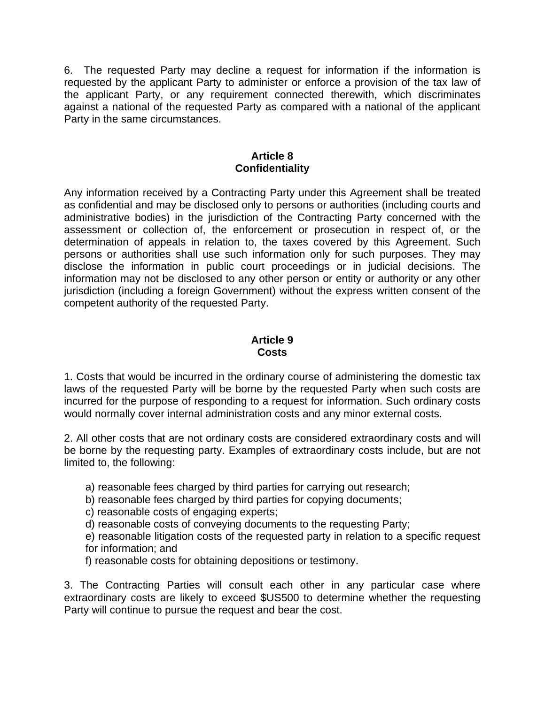6. The requested Party may decline a request for information if the information is requested by the applicant Party to administer or enforce a provision of the tax law of the applicant Party, or any requirement connected therewith, which discriminates against a national of the requested Party as compared with a national of the applicant Party in the same circumstances.

#### **Article 8 Confidentiality**

Any information received by a Contracting Party under this Agreement shall be treated as confidential and may be disclosed only to persons or authorities (including courts and administrative bodies) in the jurisdiction of the Contracting Party concerned with the assessment or collection of, the enforcement or prosecution in respect of, or the determination of appeals in relation to, the taxes covered by this Agreement. Such persons or authorities shall use such information only for such purposes. They may disclose the information in public court proceedings or in judicial decisions. The information may not be disclosed to any other person or entity or authority or any other jurisdiction (including a foreign Government) without the express written consent of the competent authority of the requested Party.

## **Article 9 Costs**

1. Costs that would be incurred in the ordinary course of administering the domestic tax laws of the requested Party will be borne by the requested Party when such costs are incurred for the purpose of responding to a request for information. Such ordinary costs would normally cover internal administration costs and any minor external costs.

2. All other costs that are not ordinary costs are considered extraordinary costs and will be borne by the requesting party. Examples of extraordinary costs include, but are not limited to, the following:

a) reasonable fees charged by third parties for carrying out research;

b) reasonable fees charged by third parties for copying documents;

c) reasonable costs of engaging experts;

d) reasonable costs of conveying documents to the requesting Party;

e) reasonable litigation costs of the requested party in relation to a specific request for information; and

f) reasonable costs for obtaining depositions or testimony.

3. The Contracting Parties will consult each other in any particular case where extraordinary costs are likely to exceed \$US500 to determine whether the requesting Party will continue to pursue the request and bear the cost.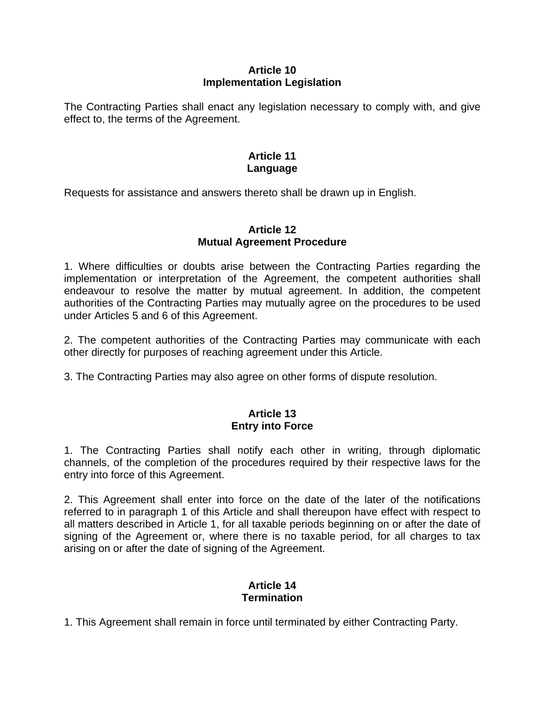# **Article 10 Implementation Legislation**

The Contracting Parties shall enact any legislation necessary to comply with, and give effect to, the terms of the Agreement.

# **Article 11 Language**

Requests for assistance and answers thereto shall be drawn up in English.

# **Article 12 Mutual Agreement Procedure**

1. Where difficulties or doubts arise between the Contracting Parties regarding the implementation or interpretation of the Agreement, the competent authorities shall endeavour to resolve the matter by mutual agreement. In addition, the competent authorities of the Contracting Parties may mutually agree on the procedures to be used under Articles 5 and 6 of this Agreement.

2. The competent authorities of the Contracting Parties may communicate with each other directly for purposes of reaching agreement under this Article.

3. The Contracting Parties may also agree on other forms of dispute resolution.

# **Article 13 Entry into Force**

1. The Contracting Parties shall notify each other in writing, through diplomatic channels, of the completion of the procedures required by their respective laws for the entry into force of this Agreement.

2. This Agreement shall enter into force on the date of the later of the notifications referred to in paragraph 1 of this Article and shall thereupon have effect with respect to all matters described in Article 1, for all taxable periods beginning on or after the date of signing of the Agreement or, where there is no taxable period, for all charges to tax arising on or after the date of signing of the Agreement.

# **Article 14 Termination**

1. This Agreement shall remain in force until terminated by either Contracting Party.